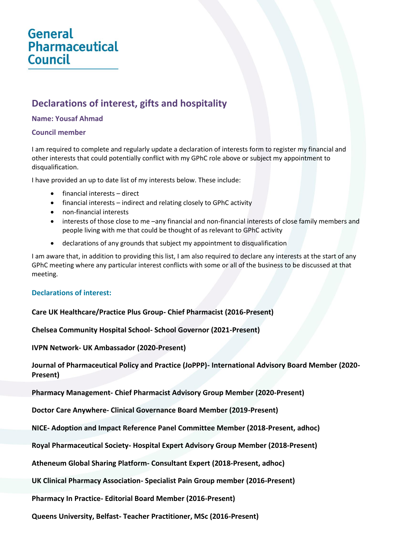# General **Pharmaceutical Council**

# **Declarations of interest, gifts and hospitality**

#### **Name: Yousaf Ahmad**

#### **Council member**

I am required to complete and regularly update a declaration of interests form to register my financial and other interests that could potentially conflict with my GPhC role above or subject my appointment to disqualification.

I have provided an up to date list of my interests below. These include:

- financial interests direct
- financial interests indirect and relating closely to GPhC activity
- non-financial interests
- interests of those close to me –any financial and non-financial interests of close family members and people living with me that could be thought of as relevant to GPhC activity
- declarations of any grounds that subject my appointment to disqualification

I am aware that, in addition to providing this list, I am also required to declare any interests at the start of any GPhC meeting where any particular interest conflicts with some or all of the business to be discussed at that meeting.

## **Declarations of interest:**

## **Care UK Healthcare/Practice Plus Group- Chief Pharmacist (2016-Present)**

**Chelsea Community Hospital School- School Governor (2021-Present)** 

**IVPN Network- UK Ambassador (2020-Present)**

**Journal of Pharmaceutical Policy and Practice (JoPPP)- International Advisory Board Member (2020- Present)**

**Pharmacy Management- Chief Pharmacist Advisory Group Member (2020-Present)** 

**Doctor Care Anywhere- Clinical Governance Board Member (2019-Present)**

**NICE- Adoption and Impact Reference Panel Committee Member (2018-Present, adhoc)**

**Royal Pharmaceutical Society- Hospital Expert Advisory Group Member (2018-Present)**

**Atheneum Global Sharing Platform- Consultant Expert (2018-Present, adhoc)**

**UK Clinical Pharmacy Association- Specialist Pain Group member (2016-Present)**

**Pharmacy In Practice- Editorial Board Member (2016-Present)**

**Queens University, Belfast- Teacher Practitioner, MSc (2016-Present)**